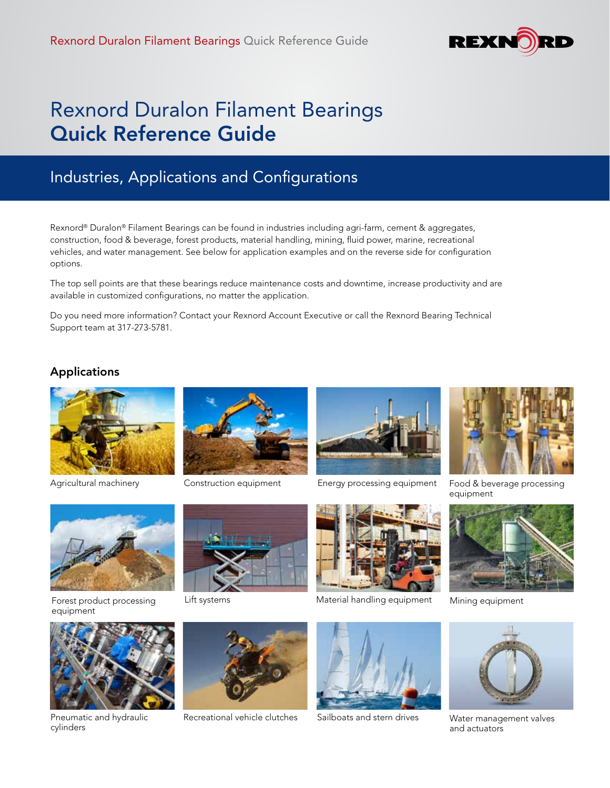

# Rexnord Duralon Filament Bearings Quick Reference Guide

## Industries, Applications and Configurations

Rexnord® Duralon® Filament Bearings can be found in industries including agri-farm, cement & aggregates, construction, food & beverage, forest products, material handling, mining, fluid power, marine, recreational vehicles, and water management. See below for application examples and on the reverse side for configuration options.

The top sell points are that these bearings reduce maintenance costs and downtime, increase productivity and are available in customized configurations, no matter the application.

Do you need more information? Contact your Rexnord Account Executive or call the Rexnord Bearing Technical Support team at 317-273-5781.

## Applications



Agricultural machinery



Construction equipment



Forest product processing Lift systems equipment



cylinders





Energy processing equipment



Food & beverage processing equipment



Mining equipment



Water management valves and actuators



Pneumatic and hydraulic Recreational vehicle clutches



Material handling equipment

Sailboats and stern drives